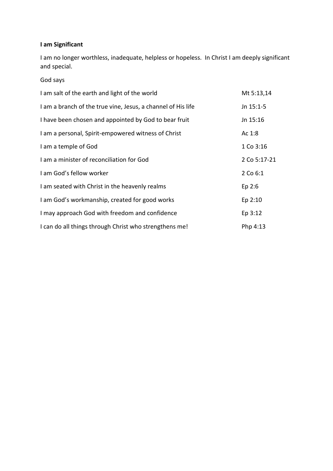## **I am Significant**

I am no longer worthless, inadequate, helpless or hopeless. In Christ I am deeply significant and special.

God says

| I am salt of the earth and light of the world                | Mt 5:13,14   |
|--------------------------------------------------------------|--------------|
| I am a branch of the true vine, Jesus, a channel of His life | Jn 15:1-5    |
| I have been chosen and appointed by God to bear fruit        | Jn 15:16     |
| I am a personal, Spirit-empowered witness of Christ          | Ac 1:8       |
| I am a temple of God                                         | 1 Co 3:16    |
| I am a minister of reconciliation for God                    | 2 Co 5:17-21 |
| I am God's fellow worker                                     | 2 Co 6:1     |
| I am seated with Christ in the heavenly realms               | Ep 2:6       |
| I am God's workmanship, created for good works               | Ep 2:10      |
| I may approach God with freedom and confidence               | Ep 3:12      |
| I can do all things through Christ who strengthens me!       | Php 4:13     |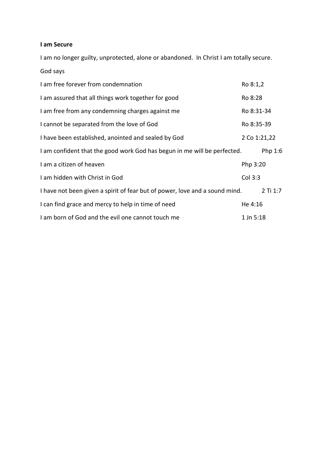## **I am Secure**

I am no longer guilty, unprotected, alone or abandoned. In Christ I am totally secure. God says

| I am free forever from condemnation                                         | Ro 8:1,2     |          |
|-----------------------------------------------------------------------------|--------------|----------|
| I am assured that all things work together for good                         | Ro 8:28      |          |
| I am free from any condemning charges against me                            | Ro 8:31-34   |          |
| I cannot be separated from the love of God                                  | Ro 8:35-39   |          |
| I have been established, anointed and sealed by God                         | 2 Co 1:21,22 |          |
| I am confident that the good work God has begun in me will be perfected.    |              | Php 1:6  |
| I am a citizen of heaven                                                    | Php 3:20     |          |
| I am hidden with Christ in God                                              | Col 3:3      |          |
| I have not been given a spirit of fear but of power, love and a sound mind. |              | 2 Ti 1:7 |
| I can find grace and mercy to help in time of need                          | He 4:16      |          |
| I am born of God and the evil one cannot touch me                           | 1 Jn 5:18    |          |